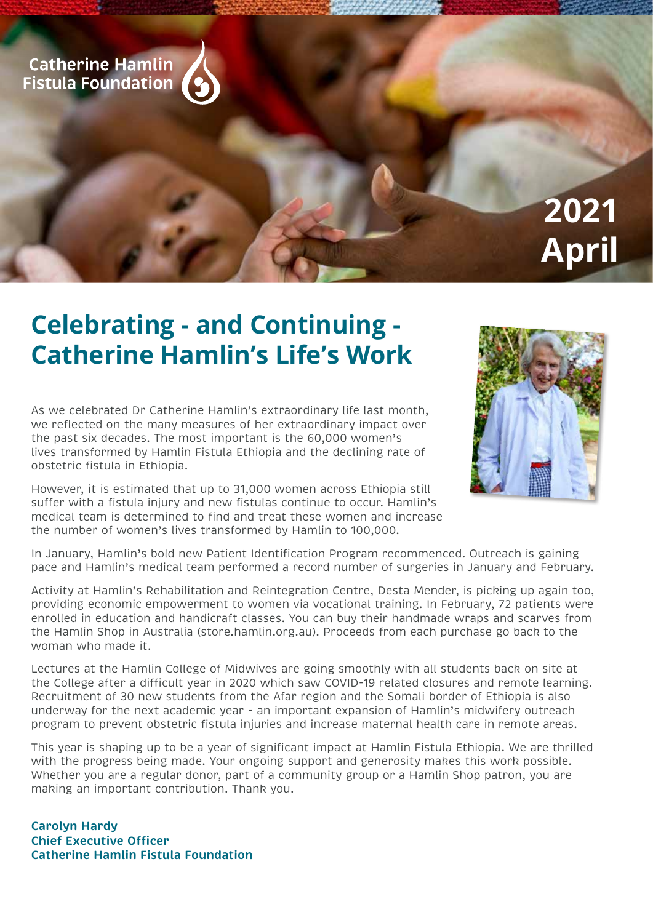

# **Celebrating - and Continuing - Catherine Hamlin's Life's Work**

As we celebrated Dr Catherine Hamlin's extraordinary life last month, we reflected on the many measures of her extraordinary impact over the past six decades. The most important is the 60,000 women's lives transformed by Hamlin Fistula Ethiopia and the declining rate of obstetric fistula in Ethiopia.

However, it is estimated that up to 31,000 women across Ethiopia still suffer with a fistula injury and new fistulas continue to occur. Hamlin's medical team is determined to find and treat these women and increase the number of women's lives transformed by Hamlin to 100,000.



In January, Hamlin's bold new Patient Identification Program recommenced. Outreach is gaining pace and Hamlin's medical team performed a record number of surgeries in January and February.

Activity at Hamlin's Rehabilitation and Reintegration Centre, Desta Mender, is picking up again too, providing economic empowerment to women via vocational training. In February, 72 patients were enrolled in education and handicraft classes. You can buy their handmade wraps and scarves from the Hamlin Shop in Australia (store.hamlin.org.au). Proceeds from each purchase go back to the woman who made it.

Lectures at the Hamlin College of Midwives are going smoothly with all students back on site at the College after a difficult year in 2020 which saw COVID-19 related closures and remote learning. Recruitment of 30 new students from the Afar region and the Somali border of Ethiopia is also underway for the next academic year - an important expansion of Hamlin's midwifery outreach program to prevent obstetric fistula injuries and increase maternal health care in remote areas.

This year is shaping up to be a year of significant impact at Hamlin Fistula Ethiopia. We are thrilled with the progress being made. Your ongoing support and generosity makes this work possible. Whether you are a regular donor, part of a community group or a Hamlin Shop patron, you are making an important contribution. Thank you.

**Carolyn Hardy Chief Executive Officer Catherine Hamlin Fistula Foundation**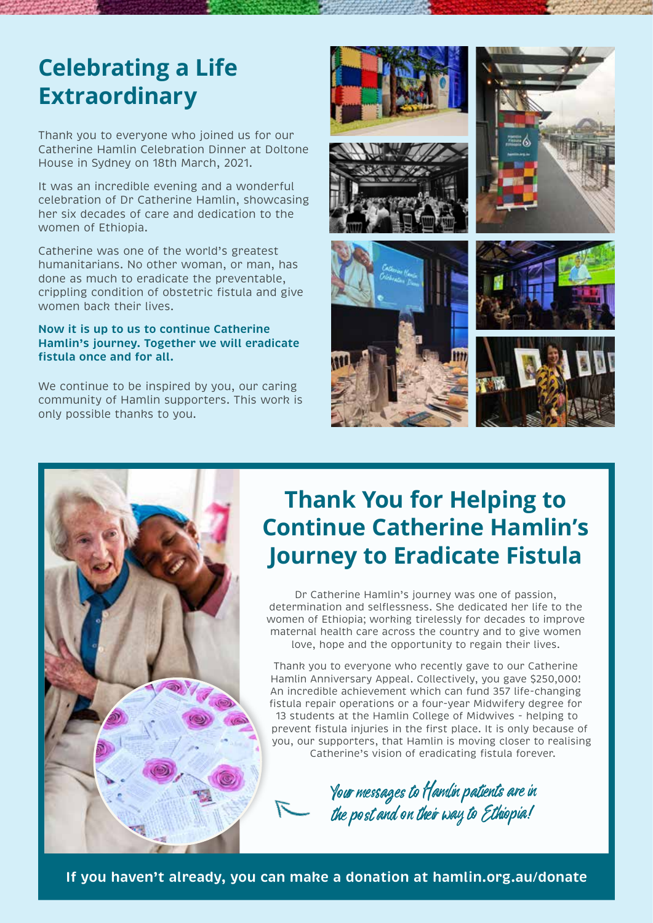### **Celebrating a Life Extraordinary**

Thank you to everyone who joined us for our Catherine Hamlin Celebration Dinner at Doltone House in Sydney on 18th March, 2021.

It was an incredible evening and a wonderful celebration of Dr Catherine Hamlin, showcasing her six decades of care and dedication to the women of Ethiopia.

Catherine was one of the world's greatest humanitarians. No other woman, or man, has done as much to eradicate the preventable, crippling condition of obstetric fistula and give women back their lives.

#### **Now it is up to us to continue Catherine Hamlin's journey. Together we will eradicate fistula once and for all.**

We continue to be inspired by you, our caring community of Hamlin supporters. This work is only possible thanks to you.





## **Thank You for Helping to Continue Catherine Hamlin's Journey to Eradicate Fistula**

Dr Catherine Hamlin's journey was one of passion, determination and selflessness. She dedicated her life to the women of Ethiopia; working tirelessly for decades to improve maternal health care across the country and to give women love, hope and the opportunity to regain their lives.

Thank you to everyone who recently gave to our Catherine Hamlin Anniversary Appeal. Collectively, you gave \$250,000! An incredible achievement which can fund 357 life-changing fistula repair operations or a four-year Midwifery degree for 13 students at the Hamlin College of Midwives - helping to prevent fistula injuries in the first place. It is only because of you, our supporters, that Hamlin is moving closer to realising Catherine's vision of eradicating fistula forever.

Your mesages to Hamlin patients are in the post and on their way to Ethiopia!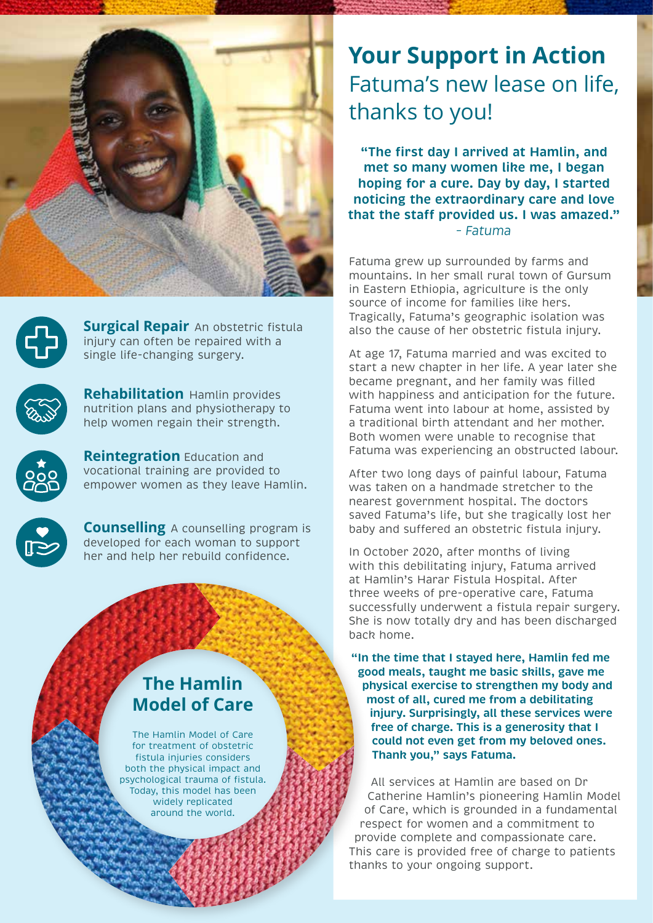



**Surgical Repair** An obstetric fistula injury can often be repaired with a single life-changing surgery.



**Rehabilitation** Hamlin provides nutrition plans and physiotherapy to help women regain their strength.



**Reintegration** Education and vocational training are provided to empower women as they leave Hamlin.

**Counselling** A counselling program is developed for each woman to support her and help her rebuild confidence.

### **The Hamlin Model of Care**

The Hamlin Model of Care for treatment of obstetric fistula injuries considers both the physical impact and psychological trauma of fistula. Today, this model has been widely replicated around the world.

### **Your Support in Action**  Fatuma's new lease on life, thanks to you!

**"The first day I arrived at Hamlin, and met so many women like me, I began hoping for a cure. Day by day, I started noticing the extraordinary care and love that the staf provided us. I was amazed."** *– Fatuma*

Fatuma grew up surrounded by farms and mountains. In her small rural town of Gursum in Eastern Ethiopia, agriculture is the only source of income for families like hers. Tragically, Fatuma's geographic isolation was also the cause of her obstetric fistula injury.

At age 17, Fatuma married and was excited to start a new chapter in her life. A year later she became pregnant, and her family was filled with happiness and anticipation for the future. Fatuma went into labour at home, assisted by a traditional birth attendant and her mother. Both women were unable to recognise that Fatuma was experiencing an obstructed labour.

After two long days of painful labour, Fatuma was taken on a handmade stretcher to the nearest government hospital. The doctors saved Fatuma's life, but she tragically lost her baby and suffered an obstetric fistula injury.

In October 2020, after months of living with this debilitating injury, Fatuma arrived at Hamlin's Harar Fistula Hospital. After three weeks of pre-operative care, Fatuma successfully underwent a fistula repair surgery. She is now totally dry and has been discharged back home.

**"In the time that I stayed here, Hamlin fed me good meals, taught me basic skills, gave me physical exercise to strengthen my body and most of all, cured me from a debilitating injury. Surprisingly, all these services were free of charge. This is a generosity that I could not even get from my beloved ones. Thank you," says Fatuma.** 

All services at Hamlin are based on Dr Catherine Hamlin's pioneering Hamlin Model of Care, which is grounded in a fundamental respect for women and a commitment to provide complete and compassionate care. This care is provided free of charge to patients thanks to your ongoing support.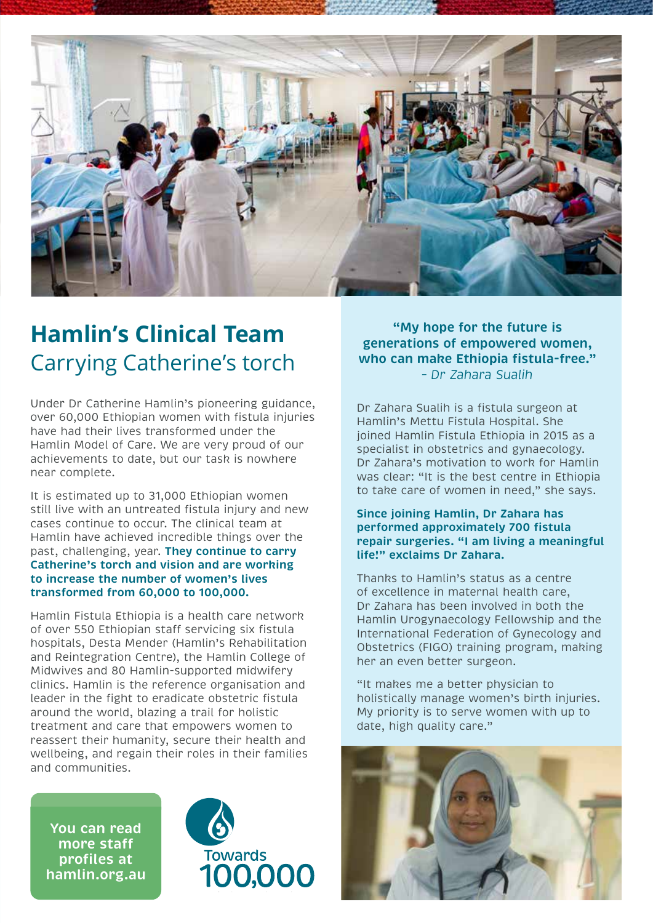

## **Hamlin's Clinical Team**  Carrying Catherine's torch

Under Dr Catherine Hamlin's pioneering guidance, over 60,000 Ethiopian women with fistula injuries have had their lives transformed under the Hamlin Model of Care. We are very proud of our achievements to date, but our task is nowhere near complete.

It is estimated up to 31,000 Ethiopian women still live with an untreated fistula injury and new cases continue to occur. The clinical team at Hamlin have achieved incredible things over the past, challenging, year. **They continue to carry Catherine's torch and vision and are working to increase the number of women's lives transformed from 60,000 to 100,000.**

Hamlin Fistula Ethiopia is a health care network of over 550 Ethiopian staff servicing six fistula hospitals, Desta Mender (Hamlin's Rehabilitation and Reintegration Centre), the Hamlin College of Midwives and 80 Hamlin-supported midwifery clinics. Hamlin is the reference organisation and leader in the fight to eradicate obstetric fistula around the world, blazing a trail for holistic treatment and care that empowers women to reassert their humanity, secure their health and wellbeing, and regain their roles in their families and communities.

**You can read more staf profiles at hamlin.org.au**



**"My hope for the future is generations of empowered women, who can make Ethiopia fistula-free."** *– Dr Zahara Sualih*

Dr Zahara Sualih is a fistula surgeon at Hamlin's Mettu Fistula Hospital. She joined Hamlin Fistula Ethiopia in 2015 as a specialist in obstetrics and gynaecology. Dr Zahara's motivation to work for Hamlin was clear: "It is the best centre in Ethiopia to take care of women in need," she says.

#### **Since joining Hamlin, Dr Zahara has performed approximately 700 fistula repair surgeries. "I am living a meaningful life!" exclaims Dr Zahara.**

Thanks to Hamlin's status as a centre of excellence in maternal health care, Dr Zahara has been involved in both the Hamlin Urogynaecology Fellowship and the International Federation of Gynecology and Obstetrics (FIGO) training program, making her an even better surgeon.

"It makes me a better physician to holistically manage women's birth injuries. My priority is to serve women with up to date, high quality care."

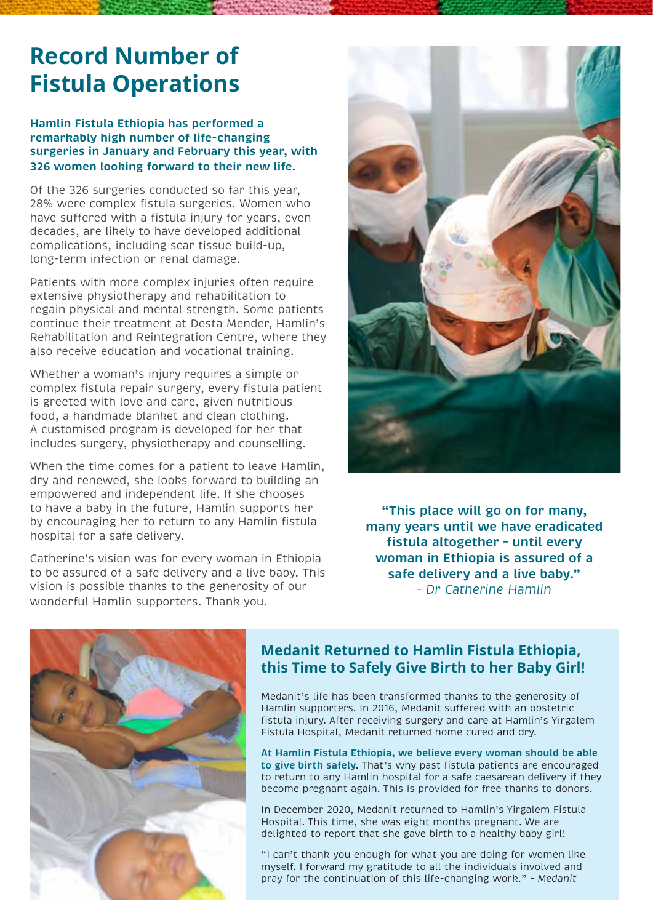### **Record Number of Fistula Operations**

#### **Hamlin Fistula Ethiopia has performed a remarkably high number of life-changing surgeries in January and February this year, with 326 women looking forward to their new life.**

Of the 326 surgeries conducted so far this year, 28% were complex fistula surgeries. Women who have suffered with a fistula injury for years, even decades, are likely to have developed additional complications, including scar tissue build-up, long-term infection or renal damage.

Patients with more complex injuries often require extensive physiotherapy and rehabilitation to regain physical and mental strength. Some patients continue their treatment at Desta Mender, Hamlin's Rehabilitation and Reintegration Centre, where they also receive education and vocational training.

Whether a woman's injury requires a simple or complex fistula repair surgery, every fistula patient is greeted with love and care, given nutritious food, a handmade blanket and clean clothing. A customised program is developed for her that includes surgery, physiotherapy and counselling.

When the time comes for a patient to leave Hamlin, dry and renewed, she looks forward to building an empowered and independent life. If she chooses to have a baby in the future, Hamlin supports her by encouraging her to return to any Hamlin fistula hospital for a safe delivery.

Catherine's vision was for every woman in Ethiopia to be assured of a safe delivery and a live baby. This vision is possible thanks to the generosity of our wonderful Hamlin supporters. Thank you.



**"This place will go on for many, many years until we have eradicated fistula altogether – until every woman in Ethiopia is assured of a safe delivery and a live baby."** *– Dr Catherine Hamlin*



### **Medanit Returned to Hamlin Fistula Ethiopia, this Time to Safely Give Birth to her Baby Girl!**

Medanit's life has been transformed thanks to the generosity of Hamlin supporters. In 2016, Medanit suffered with an obstetric fistula injury. After receiving surgery and care at Hamlin's Yirgalem Fistula Hospital, Medanit returned home cured and dry.

**At Hamlin Fistula Ethiopia, we believe every woman should be able to give birth safely**. That's why past fistula patients are encouraged to return to any Hamlin hospital for a safe caesarean delivery if they become pregnant again. This is provided for free thanks to donors.

In December 2020, Medanit returned to Hamlin's Yirgalem Fistula Hospital. This time, she was eight months pregnant. We are delighted to report that she gave birth to a healthy baby girl!

"I can't thank you enough for what you are doing for women like myself. I forward my gratitude to all the individuals involved and pray for the continuation of this life-changing work." *- Medanit*